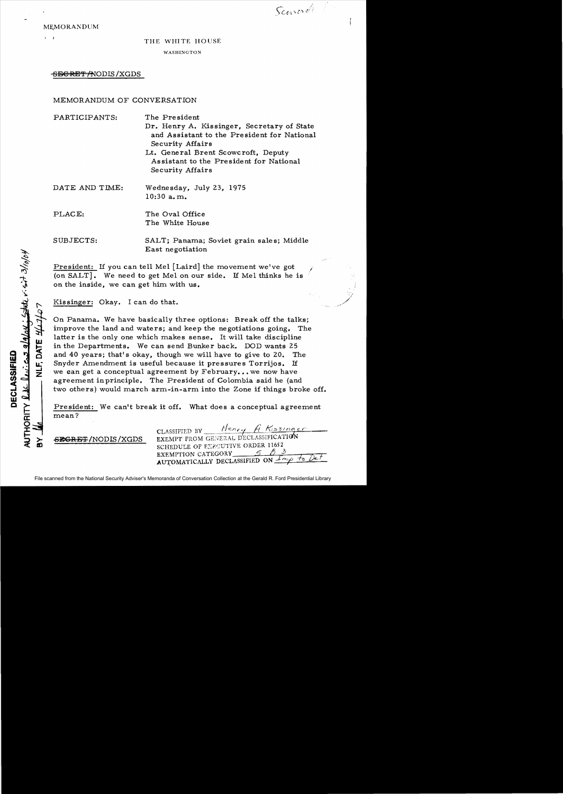Scaverdi l'

./

MEMORANDUM

 $\mathbf{I}$ 

#### THE WHITE HOUSE

WASHINGTON

# <del>SECRET /N</del>ODIS / XGDS

# MEMORANDUM OF CONVERSATION

| PARTICIPANTS:  | The President                                                   |
|----------------|-----------------------------------------------------------------|
|                | Dr. Henry A. Kissinger, Secretary of State                      |
|                | and Assistant to the President for National<br>Security Affairs |
|                | Lt. General Brent Scowcroft, Deputy                             |
|                | Assistant to the President for National                         |
|                | Security Affairs                                                |
| DATE AND TIME: | Wednesday, July 23, 1975                                        |
|                | $10:30$ a.m.                                                    |
| PLACE:         | The Oval Office                                                 |
|                | The White House                                                 |
| SUBJECTS:      | SALT; Panama; Soviet grain sales; Middle                        |
|                | East negotiation                                                |

President: If *you* can tell Mel [Laird] the movement we've got (on SALT]. We need to get Melon our side. If Mel thinks he is on the inside, we can get him with us.

Kissinger: Okay. I can do that.

On Panama. We have basically three options: Break off the talks; improve the land and waters; and keep the negotiations going. The latter is the only one which makes sense. It will take discipline in the Departments. We can send Bunker back. DOD wants 25 and 40 *years;* that's okay, though we will have to give to 20. The Snyder Amendment is useful because it pressures Torrijos. If we can get a conceptual agreement by  $February...$  we now have agreement inprinciple. The President of Colombia said he (and two others) would march arm-in-arm into the Zone if things broke off.

President: We can't break it off. What does a conceptual agreement mean?

-Sl§CRET /NODIS /XGDS

~ -

w tc o u: ..J Z

~ o w

**c t::** 

a: o J:

t > i 8l

CLASSIFIED BY Henry A Kissinger EXEMPT FROM GENERAL D'ECLASSIFICATION SCHEDULE OF EXECUTIVE ORDER 11652 SCHEDULE OF EXECUTIVE ORDER 11652<br>EXEMPTION CATEGORY 5 83<br>AUTOMATICALLY DECLASSIFIED ON <u>Imperiore to</u>

File scanned from the National Security Adviser's Memoranda of Conversation Collection at the Gerald R. Ford Presidential Library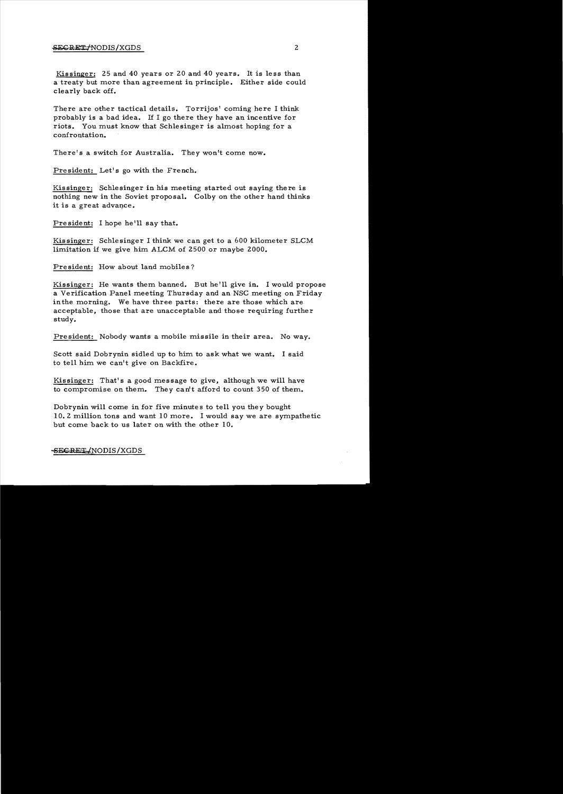# SEGRET/NODIS/XGDS 2

Kissinger: 25 and 40 years or 20 and 40 years. It is less than a treaty but more than agreement in principle. Either side could clearly back off.

There are other tactical details. Torrijos' coming here I think probably is a bad idea. If I go there they have an incentive for riots. You must know that Schlesinger is almost hoping for a confrontation.

There's a switch for Australia. They won't come now.

President: Let's go with the French.

Kissinger: Schlesinger in his meeting started out saying there is nothing new in the Soviet proposal. Colby on the other hand thinks it is a great advance.

President: I hope he'll say that.

Kissinger: Schlesinger I think we can get to a 600 kilometer SLCM limitation if we give him ALCM of 2500 or maybe 2000.

President: How about land mobiles?

Kissinger: He wants them banned. But he!ll give in. I would propose a Verification Panel meeting Thursday and an NSC meeting on Friday inthe morning. We have three parts: there are those which are acceptable, those that are unacceptable and those requiring further study.

President: Nobody wants a mobile missile in their area. No way.

Scott said Dobrynin sidled up to him to ask what we want. I said to tell him we can't give on Backfire.

Kissinger: That's a good message to give, although we will have to compromise on them. They can't afford to count 350 of them.

Dobrynin will come in for five minutes to tell you they bought 10.2 million tons and want 10 more. I would say we are sympathetic but come back to us later on with the other 10.

-SECRET/NODIS/XGDS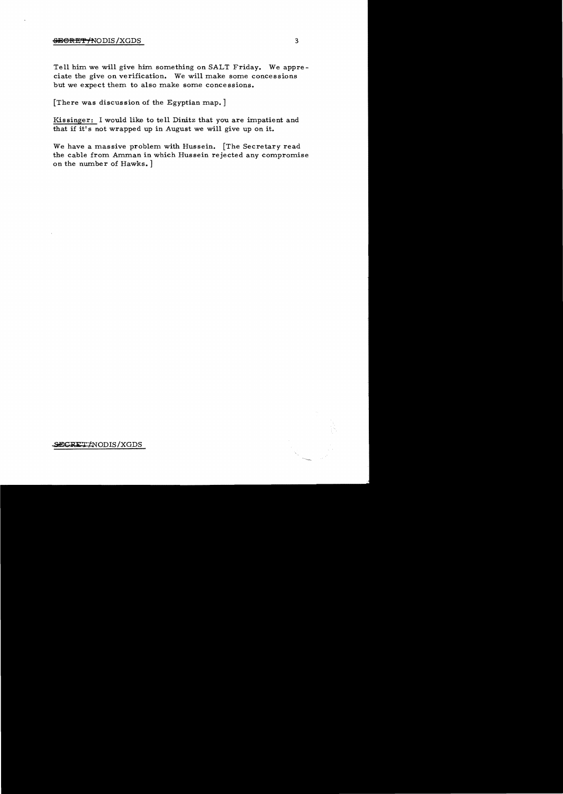### <del>SECRET/</del>NODIS/XGDS 3

Tell him we will give him something on SALT Friday. We appreciate the give on verification. We will make some concessions but we expect them to also make some concessions.

[There was discussion of the Egyptian map.]

Kissinger: I would like to tell Dinitz that you are impatient and that if it's not wrapped up in August we will give up on it.

We have a massive problem with Hussein. [The Secretary read the cable from Amman in which Hussein rejected any compromise on the number of Hawks. ]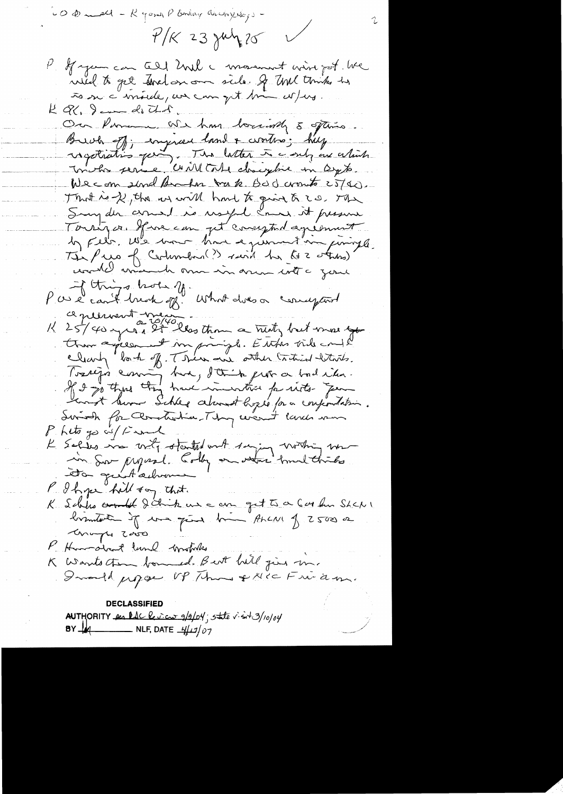CO Dundel - R game P Endorg andrejse,  $t/K$  23 July 20 If you can call hall a movement wire got . We wild to get strat on our side of that thinks he to sur c'inside, un com quit time co/ers.  $R$  Q, I am do that On Pomen. We have boundly 5 oftens Buch off; engineer land & wortens; help ragotration qui The latter to contra as atint We can shoul known by k. Bod comto 25/40. That is of the us will had to give a 20. The Sury der armed is useful comer it presume Tourizon Ifra com pet comptant aprésent Tés Puis of Certimbre (?) said her les oters) Par le cont brook of what does a compart ce présent messons Ŗ., than agreement in principle. Est des vide en 12 Tossign comme tra, d'Orite prova chadrien.<br>Il 2 partine tra have inventar perits - Jean Suivale for Clanchotice They were there were Philto go wil final K Selles in vity started and saying worthing ver P. I hope hell say that. K Schles counter d'Origine eux a aux grot te a Garden Shake concept 2000 P. Hundred land broken K Wants them bound. But hill just m. Iwould propose UP Throws & Nice Friedm. **DECLASSIFIED** AUTHORITY and lac leview g/2/04; state visit 3/10/04  $BY$   $\frac{1}{10}$  $\_$  NLF, DATE  $\frac{\mu(\mu)}{\mu}$ 07